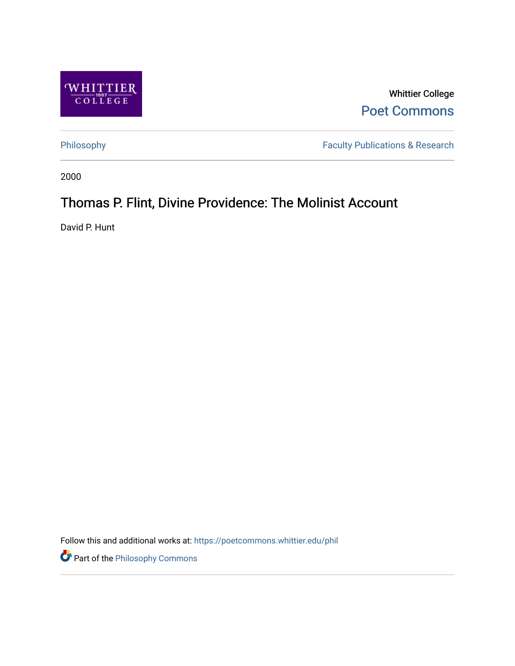

Whittier College [Poet Commons](https://poetcommons.whittier.edu/) 

[Philosophy](https://poetcommons.whittier.edu/phil) **Faculty Publications & Research** 

2000

## Thomas P. Flint, Divine Providence: The Molinist Account

David P. Hunt

Follow this and additional works at: [https://poetcommons.whittier.edu/phil](https://poetcommons.whittier.edu/phil?utm_source=poetcommons.whittier.edu%2Fphil%2F3&utm_medium=PDF&utm_campaign=PDFCoverPages)

Part of the [Philosophy Commons](http://network.bepress.com/hgg/discipline/525?utm_source=poetcommons.whittier.edu%2Fphil%2F3&utm_medium=PDF&utm_campaign=PDFCoverPages)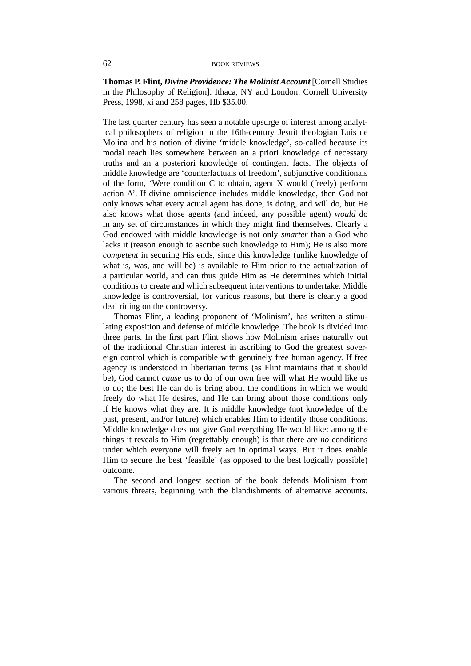## 62 BOOK REVIEWS

**Thomas P. Flint,** *Divine Providence: The Molinist Account* [Cornell Studies in the Philosophy of Religion]. Ithaca, NY and London: Cornell University Press, 1998, xi and 258 pages, Hb \$35.00.

The last quarter century has seen a notable upsurge of interest among analytical philosophers of religion in the 16th-century Jesuit theologian Luis de Molina and his notion of divine 'middle knowledge', so-called because its modal reach lies somewhere between an a priori knowledge of necessary truths and an a posteriori knowledge of contingent facts. The objects of middle knowledge are 'counterfactuals of freedom', subjunctive conditionals of the form, 'Were condition C to obtain, agent X would (freely) perform action A'. If divine omniscience includes middle knowledge, then God not only knows what every actual agent has done, is doing, and will do, but He also knows what those agents (and indeed, any possible agent) *would* do in any set of circumstances in which they might find themselves. Clearly a God endowed with middle knowledge is not only *smarter* than a God who lacks it (reason enough to ascribe such knowledge to Him); He is also more *competent* in securing His ends, since this knowledge (unlike knowledge of what is, was, and will be) is available to Him prior to the actualization of a particular world, and can thus guide Him as He determines which initial conditions to create and which subsequent interventions to undertake. Middle knowledge is controversial, for various reasons, but there is clearly a good deal riding on the controversy.

Thomas Flint, a leading proponent of 'Molinism', has written a stimulating exposition and defense of middle knowledge. The book is divided into three parts. In the first part Flint shows how Molinism arises naturally out of the traditional Christian interest in ascribing to God the greatest sovereign control which is compatible with genuinely free human agency. If free agency is understood in libertarian terms (as Flint maintains that it should be), God cannot *cause* us to do of our own free will what He would like us to do; the best He can do is bring about the conditions in which we would freely do what He desires, and He can bring about those conditions only if He knows what they are. It is middle knowledge (not knowledge of the past, present, and/or future) which enables Him to identify those conditions. Middle knowledge does not give God everything He would like: among the things it reveals to Him (regrettably enough) is that there are *no* conditions under which everyone will freely act in optimal ways. But it does enable Him to secure the best 'feasible' (as opposed to the best logically possible) outcome.

The second and longest section of the book defends Molinism from various threats, beginning with the blandishments of alternative accounts.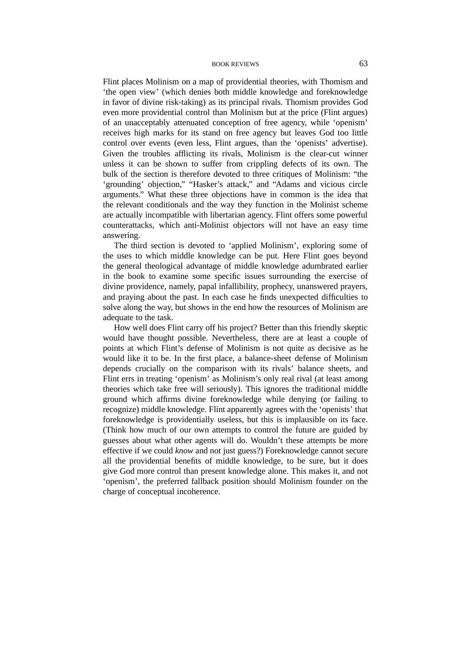## BOOK REVIEWS 63

Flint places Molinism on a map of providential theories, with Thomism and 'the open view' (which denies both middle knowledge and foreknowledge in favor of divine risk-taking) as its principal rivals. Thomism provides God even more providential control than Molinism but at the price (Flint argues) of an unacceptably attenuated conception of free agency, while 'openism' receives high marks for its stand on free agency but leaves God too little control over events (even less, Flint argues, than the 'openists' advertise). Given the troubles afflicting its rivals, Molinism is the clear-cut winner unless it can be shown to suffer from crippling defects of its own. The bulk of the section is therefore devoted to three critiques of Molinism: "the 'grounding' objection," "Hasker's attack," and "Adams and vicious circle arguments." What these three objections have in common is the idea that the relevant conditionals and the way they function in the Molinist scheme are actually incompatible with libertarian agency. Flint offers some powerful counterattacks, which anti-Molinist objectors will not have an easy time answering.

The third section is devoted to 'applied Molinism', exploring some of the uses to which middle knowledge can be put. Here Flint goes beyond the general theological advantage of middle knowledge adumbrated earlier in the book to examine some specific issues surrounding the exercise of divine providence, namely, papal infallibility, prophecy, unanswered prayers, and praying about the past. In each case he finds unexpected difficulties to solve along the way, but shows in the end how the resources of Molinism are adequate to the task.

How well does Flint carry off his project? Better than this friendly skeptic would have thought possible. Nevertheless, there are at least a couple of points at which Flint's defense of Molinism is not quite as decisive as he would like it to be. In the first place, a balance-sheet defense of Molinism depends crucially on the comparison with its rivals' balance sheets, and Flint errs in treating 'openism' as Molinism's only real rival (at least among theories which take free will seriously). This ignores the traditional middle ground which affirms divine foreknowledge while denying (or failing to recognize) middle knowledge. Flint apparently agrees with the 'openists' that foreknowledge is providentially useless, but this is implausible on its face. (Think how much of our own attempts to control the future are guided by guesses about what other agents will do. Wouldn't these attempts be more effective if we could *know* and not just guess?) Foreknowledge cannot secure all the providential benefits of middle knowledge, to be sure, but it does give God more control than present knowledge alone. This makes it, and not 'openism', the preferred fallback position should Molinism founder on the charge of conceptual incoherence.